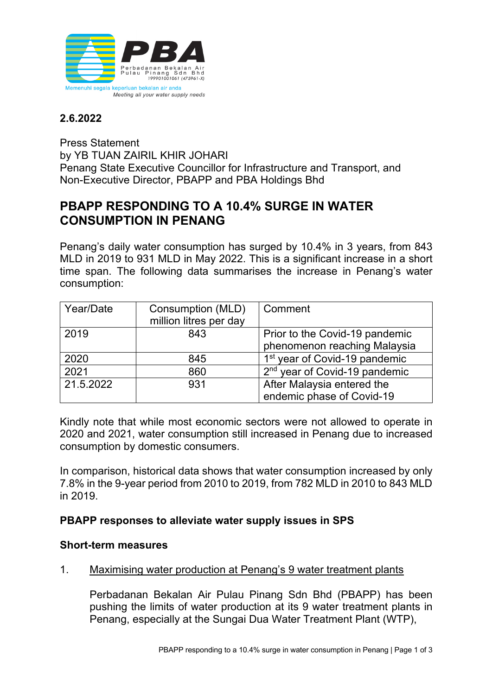

## **2.6.2022**

Press Statement by YB TUAN ZAIRIL KHIR JOHARI Penang State Executive Councillor for Infrastructure and Transport, and Non-Executive Director, PBAPP and PBA Holdings Bhd

# **PBAPP RESPONDING TO A 10.4% SURGE IN WATER CONSUMPTION IN PENANG**

Penang's daily water consumption has surged by 10.4% in 3 years, from 843 MLD in 2019 to 931 MLD in May 2022. This is a significant increase in a short time span. The following data summarises the increase in Penang's water consumption:

| Year/Date | Consumption (MLD)<br>million litres per day | Comment                                   |
|-----------|---------------------------------------------|-------------------------------------------|
|           |                                             |                                           |
| 2019      | 843                                         | Prior to the Covid-19 pandemic            |
|           |                                             | phenomenon reaching Malaysia              |
| 2020      | 845                                         | 1 <sup>st</sup> year of Covid-19 pandemic |
| 2021      | 860                                         | 2 <sup>nd</sup> year of Covid-19 pandemic |
| 21.5.2022 | 931                                         | After Malaysia entered the                |
|           |                                             | endemic phase of Covid-19                 |

Kindly note that while most economic sectors were not allowed to operate in 2020 and 2021, water consumption still increased in Penang due to increased consumption by domestic consumers.

In comparison, historical data shows that water consumption increased by only 7.8% in the 9-year period from 2010 to 2019, from 782 MLD in 2010 to 843 MLD in 2019.

## **PBAPP responses to alleviate water supply issues in SPS**

#### **Short-term measures**

1. Maximising water production at Penang's 9 water treatment plants

Perbadanan Bekalan Air Pulau Pinang Sdn Bhd (PBAPP) has been pushing the limits of water production at its 9 water treatment plants in Penang, especially at the Sungai Dua Water Treatment Plant (WTP),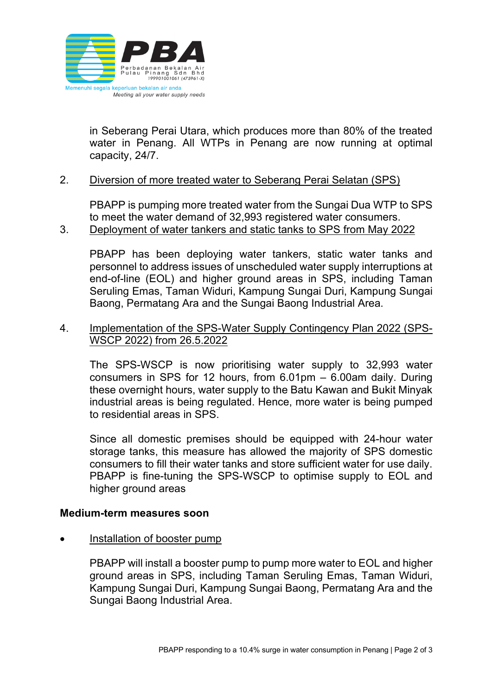

in Seberang Perai Utara, which produces more than 80% of the treated water in Penang. All WTPs in Penang are now running at optimal capacity, 24/7.

#### 2. Diversion of more treated water to Seberang Perai Selatan (SPS)

PBAPP is pumping more treated water from the Sungai Dua WTP to SPS to meet the water demand of 32,993 registered water consumers. 3. Deployment of water tankers and static tanks to SPS from May 2022

PBAPP has been deploying water tankers, static water tanks and personnel to address issues of unscheduled water supply interruptions at end-of-line (EOL) and higher ground areas in SPS, including Taman Seruling Emas, Taman Widuri, Kampung Sungai Duri, Kampung Sungai Baong, Permatang Ara and the Sungai Baong Industrial Area.

#### 4. Implementation of the SPS-Water Supply Contingency Plan 2022 (SPS-WSCP 2022) from 26.5.2022

The SPS-WSCP is now prioritising water supply to 32,993 water consumers in SPS for 12 hours, from 6.01pm – 6.00am daily. During these overnight hours, water supply to the Batu Kawan and Bukit Minyak industrial areas is being regulated. Hence, more water is being pumped to residential areas in SPS.

Since all domestic premises should be equipped with 24-hour water storage tanks, this measure has allowed the majority of SPS domestic consumers to fill their water tanks and store sufficient water for use daily. PBAPP is fine-tuning the SPS-WSCP to optimise supply to EOL and higher ground areas

#### **Medium-term measures soon**

• Installation of booster pump

PBAPP will install a booster pump to pump more water to EOL and higher ground areas in SPS, including Taman Seruling Emas, Taman Widuri, Kampung Sungai Duri, Kampung Sungai Baong, Permatang Ara and the Sungai Baong Industrial Area.